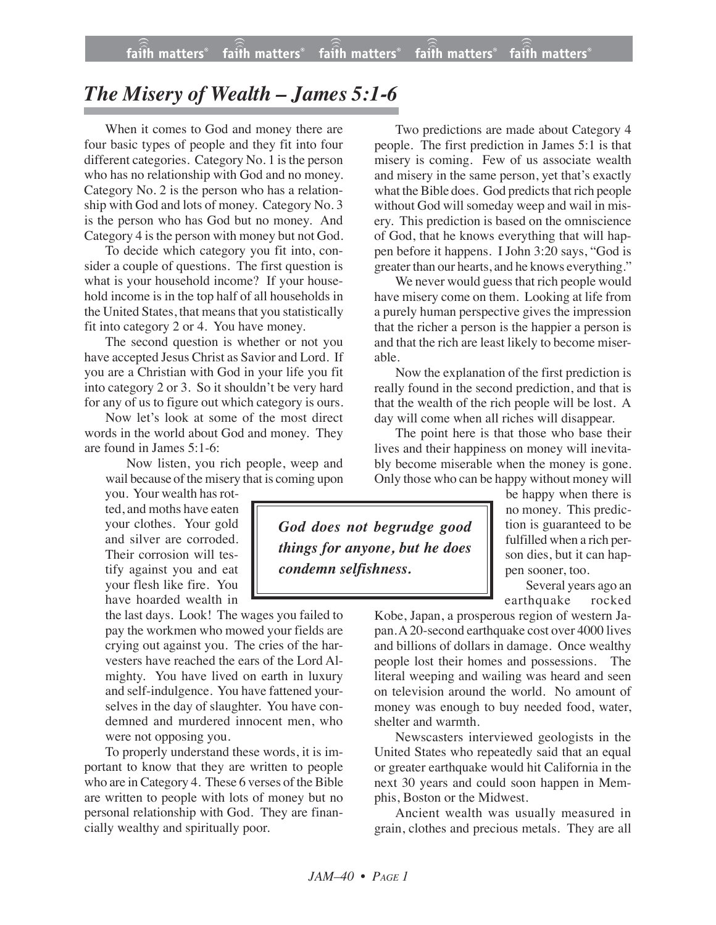## *The Misery of Wealth – James 5:1-6*

When it comes to God and money there are four basic types of people and they fit into four different categories. Category No. 1 is the person who has no relationship with God and no money. Category No. 2 is the person who has a relationship with God and lots of money. Category No. 3 is the person who has God but no money. And Category 4 is the person with money but not God.

To decide which category you fit into, consider a couple of questions. The first question is what is your household income? If your household income is in the top half of all households in the United States, that means that you statistically fit into category 2 or 4. You have money.

The second question is whether or not you have accepted Jesus Christ as Savior and Lord. If you are a Christian with God in your life you fit into category 2 or 3. So it shouldn't be very hard for any of us to figure out which category is ours.

Now let's look at some of the most direct words in the world about God and money. They are found in James 5:1-6:

Now listen, you rich people, weep and wail because of the misery that is coming upon

you. Your wealth has rotted, and moths have eaten your clothes. Your gold and silver are corroded. Their corrosion will testify against you and eat your flesh like fire. You have hoarded wealth in

the last days. Look! The wages you failed to pay the workmen who mowed your fields are crying out against you. The cries of the harvesters have reached the ears of the Lord Almighty. You have lived on earth in luxury and self-indulgence. You have fattened yourselves in the day of slaughter. You have condemned and murdered innocent men, who were not opposing you.

To properly understand these words, it is important to know that they are written to people who are in Category 4. These 6 verses of the Bible are written to people with lots of money but no personal relationship with God. They are financially wealthy and spiritually poor.

Two predictions are made about Category 4 people. The first prediction in James 5:1 is that misery is coming. Few of us associate wealth and misery in the same person, yet that's exactly what the Bible does. God predicts that rich people without God will someday weep and wail in misery. This prediction is based on the omniscience of God, that he knows everything that will happen before it happens. I John 3:20 says, "God is greater than our hearts, and he knows everything."

We never would guess that rich people would have misery come on them. Looking at life from a purely human perspective gives the impression that the richer a person is the happier a person is and that the rich are least likely to become miserable.

Now the explanation of the first prediction is really found in the second prediction, and that is that the wealth of the rich people will be lost. A day will come when all riches will disappear.

The point here is that those who base their lives and their happiness on money will inevitably become miserable when the money is gone. Only those who can be happy without money will

*God does not begrudge good things for anyone, but he does condemn selfishness.*

be happy when there is no money. This prediction is guaranteed to be fulfilled when a rich person dies, but it can happen sooner, too.

Several years ago an earthquake rocked

Kobe, Japan, a prosperous region of western Japan. A 20-second earthquake cost over 4000 lives and billions of dollars in damage. Once wealthy people lost their homes and possessions. The literal weeping and wailing was heard and seen on television around the world. No amount of money was enough to buy needed food, water, shelter and warmth.

Newscasters interviewed geologists in the United States who repeatedly said that an equal or greater earthquake would hit California in the next 30 years and could soon happen in Memphis, Boston or the Midwest.

Ancient wealth was usually measured in grain, clothes and precious metals. They are all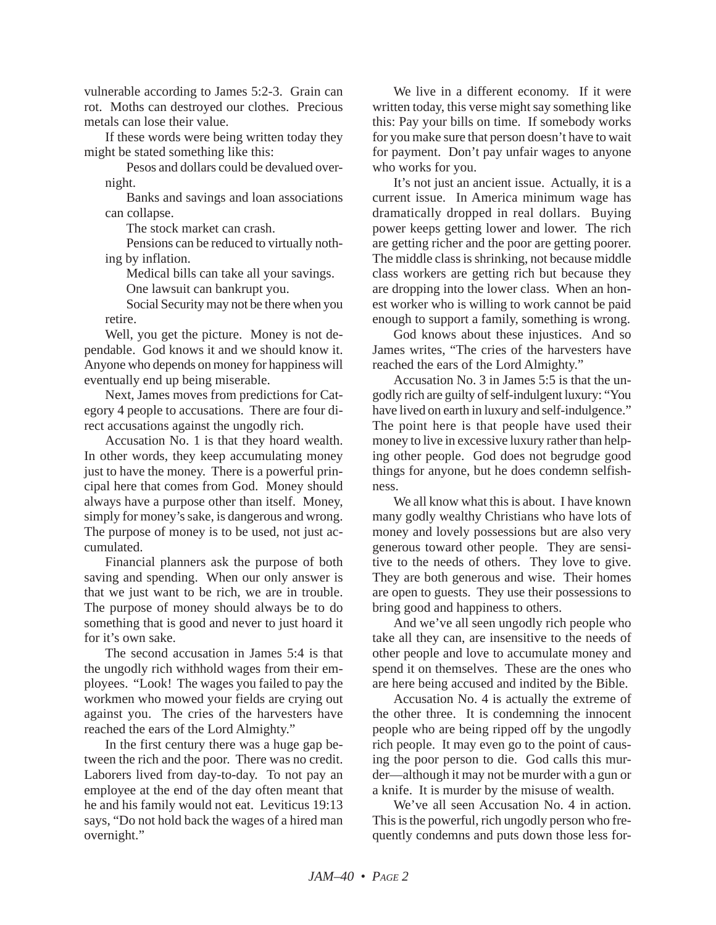vulnerable according to James 5:2-3. Grain can rot. Moths can destroyed our clothes. Precious metals can lose their value.

If these words were being written today they might be stated something like this:

Pesos and dollars could be devalued overnight.

Banks and savings and loan associations can collapse.

The stock market can crash.

Pensions can be reduced to virtually nothing by inflation.

Medical bills can take all your savings.

One lawsuit can bankrupt you.

Social Security may not be there when you retire.

Well, you get the picture. Money is not dependable. God knows it and we should know it. Anyone who depends on money for happiness will eventually end up being miserable.

Next, James moves from predictions for Category 4 people to accusations. There are four direct accusations against the ungodly rich.

Accusation No. 1 is that they hoard wealth. In other words, they keep accumulating money just to have the money. There is a powerful principal here that comes from God. Money should always have a purpose other than itself. Money, simply for money's sake, is dangerous and wrong. The purpose of money is to be used, not just accumulated.

Financial planners ask the purpose of both saving and spending. When our only answer is that we just want to be rich, we are in trouble. The purpose of money should always be to do something that is good and never to just hoard it for it's own sake.

The second accusation in James 5:4 is that the ungodly rich withhold wages from their employees. "Look! The wages you failed to pay the workmen who mowed your fields are crying out against you. The cries of the harvesters have reached the ears of the Lord Almighty."

In the first century there was a huge gap between the rich and the poor. There was no credit. Laborers lived from day-to-day. To not pay an employee at the end of the day often meant that he and his family would not eat. Leviticus 19:13 says, "Do not hold back the wages of a hired man overnight."

We live in a different economy. If it were written today, this verse might say something like this: Pay your bills on time. If somebody works for you make sure that person doesn't have to wait for payment. Don't pay unfair wages to anyone who works for you.

It's not just an ancient issue. Actually, it is a current issue. In America minimum wage has dramatically dropped in real dollars. Buying power keeps getting lower and lower. The rich are getting richer and the poor are getting poorer. The middle class is shrinking, not because middle class workers are getting rich but because they are dropping into the lower class. When an honest worker who is willing to work cannot be paid enough to support a family, something is wrong.

God knows about these injustices. And so James writes, "The cries of the harvesters have reached the ears of the Lord Almighty."

Accusation No. 3 in James 5:5 is that the ungodly rich are guilty of self-indulgent luxury: "You have lived on earth in luxury and self-indulgence." The point here is that people have used their money to live in excessive luxury rather than helping other people. God does not begrudge good things for anyone, but he does condemn selfishness.

We all know what this is about. I have known many godly wealthy Christians who have lots of money and lovely possessions but are also very generous toward other people. They are sensitive to the needs of others. They love to give. They are both generous and wise. Their homes are open to guests. They use their possessions to bring good and happiness to others.

And we've all seen ungodly rich people who take all they can, are insensitive to the needs of other people and love to accumulate money and spend it on themselves. These are the ones who are here being accused and indited by the Bible.

Accusation No. 4 is actually the extreme of the other three. It is condemning the innocent people who are being ripped off by the ungodly rich people. It may even go to the point of causing the poor person to die. God calls this murder—although it may not be murder with a gun or a knife. It is murder by the misuse of wealth.

We've all seen Accusation No. 4 in action. This is the powerful, rich ungodly person who frequently condemns and puts down those less for